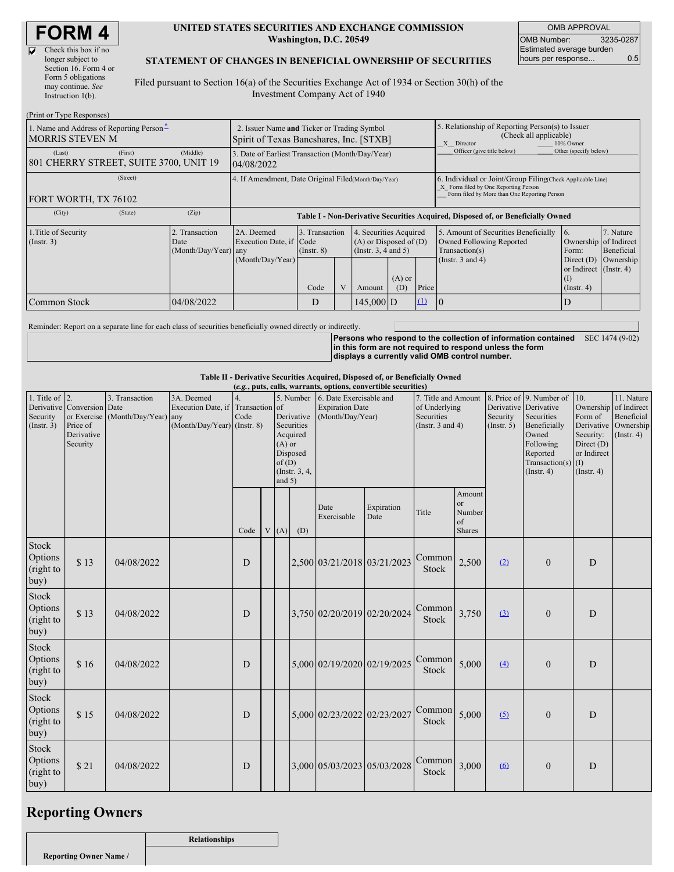$\overline{\mathbf{v}}$ 

| Check this box if no  |
|-----------------------|
| longer subject to     |
| Section 16. Form 4 or |
| Form 5 obligations    |
| may continue. See     |
| Instruction 1(b).     |
|                       |

#### **UNITED STATES SECURITIES AND EXCHANGE COMMISSION Washington, D.C. 20549**

OMB APPROVAL OMB Number: 3235-0287 Estimated average burden hours per response... 0.5

#### **STATEMENT OF CHANGES IN BENEFICIAL OWNERSHIP OF SECURITIES**

Filed pursuant to Section 16(a) of the Securities Exchange Act of 1934 or Section 30(h) of the Investment Company Act of 1940

| (Print or Type Responses)                                                                  |                                                                                        |                                                                |                                                                                  |   |                                                                                  |                                                                                                       |                                |                                                                                                                                                    |                                                                  |                         |  |
|--------------------------------------------------------------------------------------------|----------------------------------------------------------------------------------------|----------------------------------------------------------------|----------------------------------------------------------------------------------|---|----------------------------------------------------------------------------------|-------------------------------------------------------------------------------------------------------|--------------------------------|----------------------------------------------------------------------------------------------------------------------------------------------------|------------------------------------------------------------------|-------------------------|--|
| 1. Name and Address of Reporting Person-<br><b>MORRIS STEVEN M</b>                         | 2. Issuer Name and Ticker or Trading Symbol<br>Spirit of Texas Bancshares, Inc. [STXB] |                                                                |                                                                                  |   |                                                                                  | 5. Relationship of Reporting Person(s) to Issuer<br>(Check all applicable)<br>10% Owner<br>X Director |                                |                                                                                                                                                    |                                                                  |                         |  |
| (First)<br>(Last)<br>801 CHERRY STREET, SUITE 3700, UNIT 19                                | (Middle)                                                                               | 3. Date of Earliest Transaction (Month/Day/Year)<br>04/08/2022 |                                                                                  |   |                                                                                  |                                                                                                       |                                | Officer (give title below)                                                                                                                         | Other (specify below)                                            |                         |  |
| (Street)<br>FORT WORTH, TX 76102                                                           |                                                                                        | 4. If Amendment, Date Original Filed Month/Day/Year)           |                                                                                  |   |                                                                                  |                                                                                                       |                                | 6. Individual or Joint/Group Filing(Check Applicable Line)<br>X Form filed by One Reporting Person<br>Form filed by More than One Reporting Person |                                                                  |                         |  |
| (City)<br>(State)                                                                          | (Zip)                                                                                  |                                                                | Table I - Non-Derivative Securities Acquired, Disposed of, or Beneficially Owned |   |                                                                                  |                                                                                                       |                                |                                                                                                                                                    |                                                                  |                         |  |
| 2. Transaction<br>1. Title of Security<br>$($ Instr. 3 $)$<br>Date<br>(Month/Day/Year) any |                                                                                        | 2A. Deemed<br>Execution Date, if Code                          | 3. Transaction<br>$($ Instr. 8)                                                  |   | 4. Securities Acquired<br>$(A)$ or Disposed of $(D)$<br>(Instr. $3, 4$ and $5$ ) |                                                                                                       |                                | 5. Amount of Securities Beneficially<br>Owned Following Reported<br>Transaction(s)                                                                 | 16.<br>Ownership of Indirect<br>Form:                            | 7. Nature<br>Beneficial |  |
|                                                                                            |                                                                                        | (Month/Day/Year)                                               | Code                                                                             | V | Amount                                                                           | $(A)$ or<br>(D)                                                                                       | Price                          | (Instr. $3$ and $4$ )                                                                                                                              | Direct $(D)$<br>or Indirect $($ Instr. 4 $)$<br>$($ Instr. 4 $)$ | Ownership               |  |
| Common Stock                                                                               | 04/08/2022                                                                             |                                                                | D                                                                                |   | 145.000 D                                                                        |                                                                                                       | $\left( \underline{1} \right)$ | 10                                                                                                                                                 | D                                                                |                         |  |

Reminder: Report on a separate line for each class of securities beneficially owned directly or indirectly.

**Persons who respond to the collection of information contained in this form are not required to respond unless the form displays a currently valid OMB control number.** SEC 1474 (9-02)

#### **Table II - Derivative Securities Acquired, Disposed of, or Beneficially Owned**

| (e.g., puts, calls, warrants, options, convertible securities)<br>1. Title of $\vert$ 2.<br>4.<br>8. Price of 9. Number of<br>10.<br>11. Nature<br>3. Transaction<br>3A. Deemed<br>5. Number<br>6. Date Exercisable and<br>7. Title and Amount<br>Derivative Conversion Date<br>Execution Date, if Transaction of<br><b>Expiration Date</b><br>Ownership of Indirect<br>of Underlying<br>Derivative Derivative<br>(Month/Day/Year) any<br>Code<br>Derivative<br>(Month/Day/Year)<br>Securities<br>Securities<br>Beneficial<br>or Exercise<br>Security<br>Form of<br>$(Month/Day/Year)$ (Instr. 8)<br>Derivative Ownership<br>Price of<br>Securities<br>(Instr. $3$ and $4$ )<br>Beneficially<br>$($ Instr. 5 $)$<br>Acquired<br>Owned<br>Security:<br>Derivative<br>$($ Instr. 4 $)$<br>Security<br>Following<br>Direct (D)<br>$(A)$ or<br>or Indirect<br>Disposed<br>Reported<br>of(D)<br>Transaction(s)<br>(I)<br>(Instr. 3, 4,<br>(Insert, 4)<br>$($ Instr. 4 $)$<br>and $5)$<br>Amount<br><sub>or</sub><br>Date<br>Expiration<br>Title<br>Number<br>Exercisable<br>Date<br>of<br>V<br>(A)<br>(D)<br><b>Shares</b><br>Code<br>Common<br>2,500<br>\$13<br>2,500 03/21/2018 03/21/2023<br>04/08/2022<br>(2)<br>D<br>D<br>$\overline{0}$<br><b>Stock</b><br>Common<br>3,750<br>3,750 02/20/2019 02/20/2024<br>\$13<br>04/08/2022<br>(3)<br>D<br>D<br>$\overline{0}$<br><b>Stock</b> |      |            |  |   |  |  |  |                             |                             |                        |       |     |                  |   |  |
|-------------------------------------------------------------------------------------------------------------------------------------------------------------------------------------------------------------------------------------------------------------------------------------------------------------------------------------------------------------------------------------------------------------------------------------------------------------------------------------------------------------------------------------------------------------------------------------------------------------------------------------------------------------------------------------------------------------------------------------------------------------------------------------------------------------------------------------------------------------------------------------------------------------------------------------------------------------------------------------------------------------------------------------------------------------------------------------------------------------------------------------------------------------------------------------------------------------------------------------------------------------------------------------------------------------------------------------------------------------------------------------|------|------------|--|---|--|--|--|-----------------------------|-----------------------------|------------------------|-------|-----|------------------|---|--|
| Security<br>(Insert. 3)                                                                                                                                                                                                                                                                                                                                                                                                                                                                                                                                                                                                                                                                                                                                                                                                                                                                                                                                                                                                                                                                                                                                                                                                                                                                                                                                                             |      |            |  |   |  |  |  |                             |                             |                        |       |     |                  |   |  |
|                                                                                                                                                                                                                                                                                                                                                                                                                                                                                                                                                                                                                                                                                                                                                                                                                                                                                                                                                                                                                                                                                                                                                                                                                                                                                                                                                                                     |      |            |  |   |  |  |  |                             |                             |                        |       |     |                  |   |  |
| Stock<br>Options<br>(right to<br>buy)                                                                                                                                                                                                                                                                                                                                                                                                                                                                                                                                                                                                                                                                                                                                                                                                                                                                                                                                                                                                                                                                                                                                                                                                                                                                                                                                               |      |            |  |   |  |  |  |                             |                             |                        |       |     |                  |   |  |
| Stock<br>Options<br>(right to<br>buy)                                                                                                                                                                                                                                                                                                                                                                                                                                                                                                                                                                                                                                                                                                                                                                                                                                                                                                                                                                                                                                                                                                                                                                                                                                                                                                                                               |      |            |  |   |  |  |  |                             |                             |                        |       |     |                  |   |  |
| Stock<br>Options<br>(right to<br>buy)                                                                                                                                                                                                                                                                                                                                                                                                                                                                                                                                                                                                                                                                                                                                                                                                                                                                                                                                                                                                                                                                                                                                                                                                                                                                                                                                               | \$16 | 04/08/2022 |  | D |  |  |  |                             | 5,000 02/19/2020 02/19/2025 | Common<br><b>Stock</b> | 5,000 | (4) | $\boldsymbol{0}$ | D |  |
| Stock<br>Options<br>(right to<br>buy)                                                                                                                                                                                                                                                                                                                                                                                                                                                                                                                                                                                                                                                                                                                                                                                                                                                                                                                                                                                                                                                                                                                                                                                                                                                                                                                                               | \$15 | 04/08/2022 |  | D |  |  |  | 5,000 02/23/2022 02/23/2027 |                             | Common<br>Stock        | 5,000 | (5) | $\overline{0}$   | D |  |
| Stock<br>Options<br>(right to<br>buy)                                                                                                                                                                                                                                                                                                                                                                                                                                                                                                                                                                                                                                                                                                                                                                                                                                                                                                                                                                                                                                                                                                                                                                                                                                                                                                                                               | \$21 | 04/08/2022 |  | D |  |  |  |                             | 3,000 05/03/2023 05/03/2028 | Common<br><b>Stock</b> | 3,000 | (6) | $\mathbf{0}$     | D |  |

## **Reporting Owners**

**Relationships**